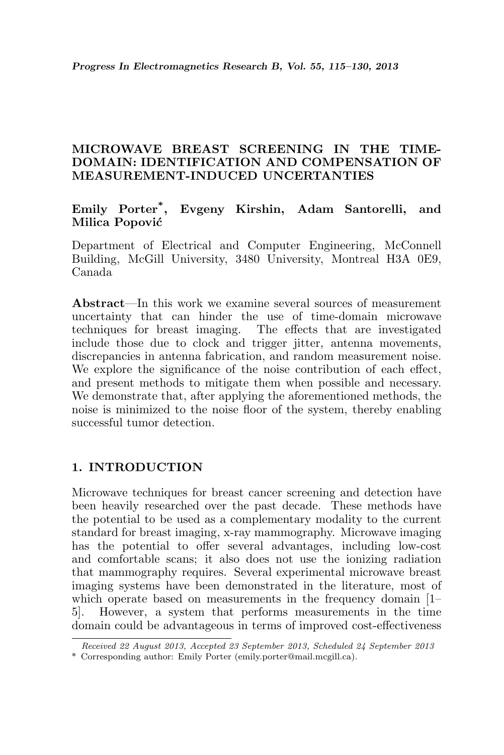## MICROWAVE BREAST SCREENING IN THE TIME-DOMAIN: IDENTIFICATION AND COMPENSATION OF MEASUREMENT-INDUCED UNCERTANTIES

# Emily Porter\* , Evgeny Kirshin, Adam Santorelli, and Milica Popović

Department of Electrical and Computer Engineering, McConnell Building, McGill University, 3480 University, Montreal H3A 0E9, Canada

Abstract—In this work we examine several sources of measurement uncertainty that can hinder the use of time-domain microwave techniques for breast imaging. The effects that are investigated include those due to clock and trigger jitter, antenna movements, discrepancies in antenna fabrication, and random measurement noise. We explore the significance of the noise contribution of each effect, and present methods to mitigate them when possible and necessary. We demonstrate that, after applying the aforementioned methods, the noise is minimized to the noise floor of the system, thereby enabling successful tumor detection.

## 1. INTRODUCTION

Microwave techniques for breast cancer screening and detection have been heavily researched over the past decade. These methods have the potential to be used as a complementary modality to the current standard for breast imaging, x-ray mammography. Microwave imaging has the potential to offer several advantages, including low-cost and comfortable scans; it also does not use the ionizing radiation that mammography requires. Several experimental microwave breast imaging systems have been demonstrated in the literature, most of which operate based on measurements in the frequency domain  $[1-$ 5]. However, a system that performs measurements in the time domain could be advantageous in terms of improved cost-effectiveness

Received 22 August 2013, Accepted 23 September 2013, Scheduled 24 September 2013

<sup>\*</sup> Corresponding author: Emily Porter (emily.porter@mail.mcgill.ca).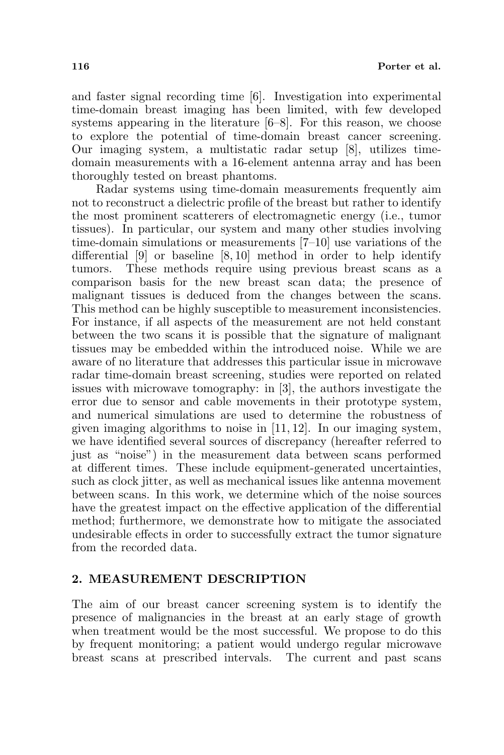and faster signal recording time [6]. Investigation into experimental time-domain breast imaging has been limited, with few developed systems appearing in the literature [6–8]. For this reason, we choose to explore the potential of time-domain breast cancer screening. Our imaging system, a multistatic radar setup [8], utilizes timedomain measurements with a 16-element antenna array and has been thoroughly tested on breast phantoms.

Radar systems using time-domain measurements frequently aim not to reconstruct a dielectric profile of the breast but rather to identify the most prominent scatterers of electromagnetic energy (i.e., tumor tissues). In particular, our system and many other studies involving time-domain simulations or measurements [7–10] use variations of the differential [9] or baseline [8, 10] method in order to help identify tumors. These methods require using previous breast scans as a comparison basis for the new breast scan data; the presence of malignant tissues is deduced from the changes between the scans. This method can be highly susceptible to measurement inconsistencies. For instance, if all aspects of the measurement are not held constant between the two scans it is possible that the signature of malignant tissues may be embedded within the introduced noise. While we are aware of no literature that addresses this particular issue in microwave radar time-domain breast screening, studies were reported on related issues with microwave tomography: in [3], the authors investigate the error due to sensor and cable movements in their prototype system, and numerical simulations are used to determine the robustness of given imaging algorithms to noise in [11, 12]. In our imaging system, we have identified several sources of discrepancy (hereafter referred to just as "noise") in the measurement data between scans performed at different times. These include equipment-generated uncertainties, such as clock jitter, as well as mechanical issues like antenna movement between scans. In this work, we determine which of the noise sources have the greatest impact on the effective application of the differential method; furthermore, we demonstrate how to mitigate the associated undesirable effects in order to successfully extract the tumor signature from the recorded data.

## 2. MEASUREMENT DESCRIPTION

The aim of our breast cancer screening system is to identify the presence of malignancies in the breast at an early stage of growth when treatment would be the most successful. We propose to do this by frequent monitoring; a patient would undergo regular microwave breast scans at prescribed intervals. The current and past scans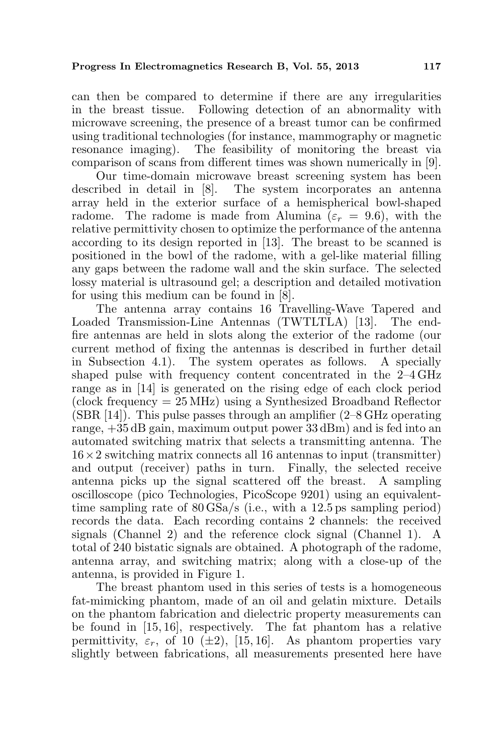can then be compared to determine if there are any irregularities in the breast tissue. Following detection of an abnormality with microwave screening, the presence of a breast tumor can be confirmed using traditional technologies (for instance, mammography or magnetic resonance imaging). The feasibility of monitoring the breast via comparison of scans from different times was shown numerically in [9].

Our time-domain microwave breast screening system has been described in detail in [8]. The system incorporates an antenna array held in the exterior surface of a hemispherical bowl-shaped radome. The radome is made from Alumina ( $\varepsilon_r = 9.6$ ), with the relative permittivity chosen to optimize the performance of the antenna according to its design reported in [13]. The breast to be scanned is positioned in the bowl of the radome, with a gel-like material filling any gaps between the radome wall and the skin surface. The selected lossy material is ultrasound gel; a description and detailed motivation for using this medium can be found in [8].

The antenna array contains 16 Travelling-Wave Tapered and Loaded Transmission-Line Antennas (TWTLTLA) [13]. The endfire antennas are held in slots along the exterior of the radome (our current method of fixing the antennas is described in further detail in Subsection 4.1). The system operates as follows. A specially shaped pulse with frequency content concentrated in the 2–4 GHz range as in [14] is generated on the rising edge of each clock period (clock frequency = 25 MHz) using a Synthesized Broadband Reflector (SBR [14]). This pulse passes through an amplifier  $(2-8 \text{ GHz}$  operating range, +35 dB gain, maximum output power 33 dBm) and is fed into an automated switching matrix that selects a transmitting antenna. The  $16\times2$  switching matrix connects all 16 antennas to input (transmitter) and output (receiver) paths in turn. Finally, the selected receive antenna picks up the signal scattered off the breast. A sampling oscilloscope (pico Technologies, PicoScope 9201) using an equivalenttime sampling rate of 80 GSa/s (i.e., with a 12.5 ps sampling period) records the data. Each recording contains 2 channels: the received signals (Channel 2) and the reference clock signal (Channel 1). A total of 240 bistatic signals are obtained. A photograph of the radome, antenna array, and switching matrix; along with a close-up of the antenna, is provided in Figure 1.

The breast phantom used in this series of tests is a homogeneous fat-mimicking phantom, made of an oil and gelatin mixture. Details on the phantom fabrication and dielectric property measurements can be found in [15, 16], respectively. The fat phantom has a relative permittivity,  $\varepsilon_r$ , of 10 ( $\pm 2$ ), [15, 16]. As phantom properties vary slightly between fabrications, all measurements presented here have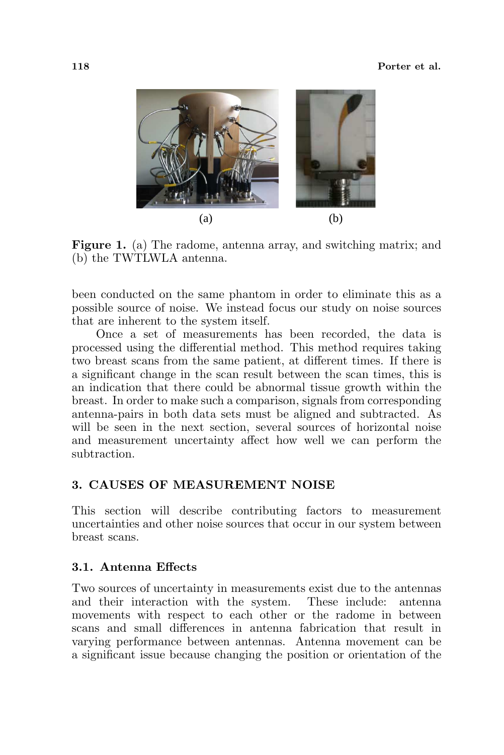#### 118 Porter et al.



Figure 1. (a) The radome, antenna array, and switching matrix; and (b) the TWTLWLA antenna.

been conducted on the same phantom in order to eliminate this as a possible source of noise. We instead focus our study on noise sources that are inherent to the system itself.

Once a set of measurements has been recorded, the data is processed using the differential method. This method requires taking two breast scans from the same patient, at different times. If there is a significant change in the scan result between the scan times, this is an indication that there could be abnormal tissue growth within the breast. In order to make such a comparison, signals from corresponding antenna-pairs in both data sets must be aligned and subtracted. As will be seen in the next section, several sources of horizontal noise and measurement uncertainty affect how well we can perform the subtraction.

#### 3. CAUSES OF MEASUREMENT NOISE

This section will describe contributing factors to measurement uncertainties and other noise sources that occur in our system between breast scans.

#### 3.1. Antenna Effects

Two sources of uncertainty in measurements exist due to the antennas and their interaction with the system. These include: antenna movements with respect to each other or the radome in between scans and small differences in antenna fabrication that result in varying performance between antennas. Antenna movement can be a significant issue because changing the position or orientation of the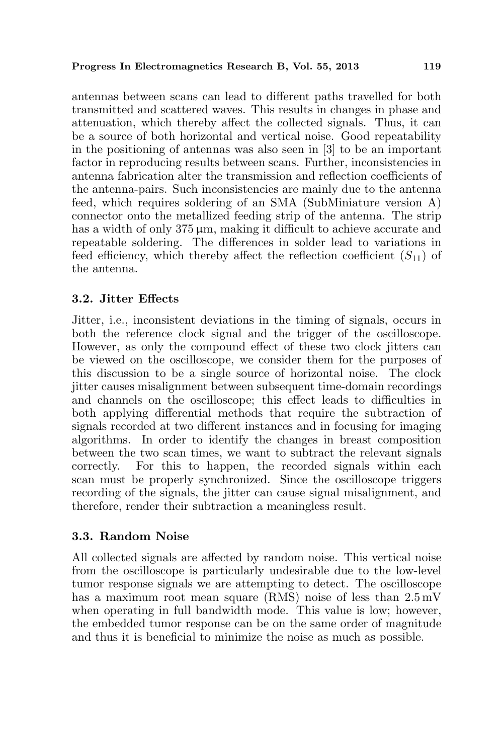antennas between scans can lead to different paths travelled for both transmitted and scattered waves. This results in changes in phase and attenuation, which thereby affect the collected signals. Thus, it can be a source of both horizontal and vertical noise. Good repeatability in the positioning of antennas was also seen in [3] to be an important factor in reproducing results between scans. Further, inconsistencies in antenna fabrication alter the transmission and reflection coefficients of the antenna-pairs. Such inconsistencies are mainly due to the antenna feed, which requires soldering of an SMA (SubMiniature version A) connector onto the metallized feeding strip of the antenna. The strip has a width of only  $375 \,\mu m$ , making it difficult to achieve accurate and repeatable soldering. The differences in solder lead to variations in feed efficiency, which thereby affect the reflection coefficient  $(S_{11})$  of the antenna.

# 3.2. Jitter Effects

Jitter, i.e., inconsistent deviations in the timing of signals, occurs in both the reference clock signal and the trigger of the oscilloscope. However, as only the compound effect of these two clock jitters can be viewed on the oscilloscope, we consider them for the purposes of this discussion to be a single source of horizontal noise. The clock jitter causes misalignment between subsequent time-domain recordings and channels on the oscilloscope; this effect leads to difficulties in both applying differential methods that require the subtraction of signals recorded at two different instances and in focusing for imaging algorithms. In order to identify the changes in breast composition between the two scan times, we want to subtract the relevant signals correctly. For this to happen, the recorded signals within each scan must be properly synchronized. Since the oscilloscope triggers recording of the signals, the jitter can cause signal misalignment, and therefore, render their subtraction a meaningless result.

# 3.3. Random Noise

All collected signals are affected by random noise. This vertical noise from the oscilloscope is particularly undesirable due to the low-level tumor response signals we are attempting to detect. The oscilloscope has a maximum root mean square (RMS) noise of less than  $2.5 \text{ mV}$ when operating in full bandwidth mode. This value is low; however, the embedded tumor response can be on the same order of magnitude and thus it is beneficial to minimize the noise as much as possible.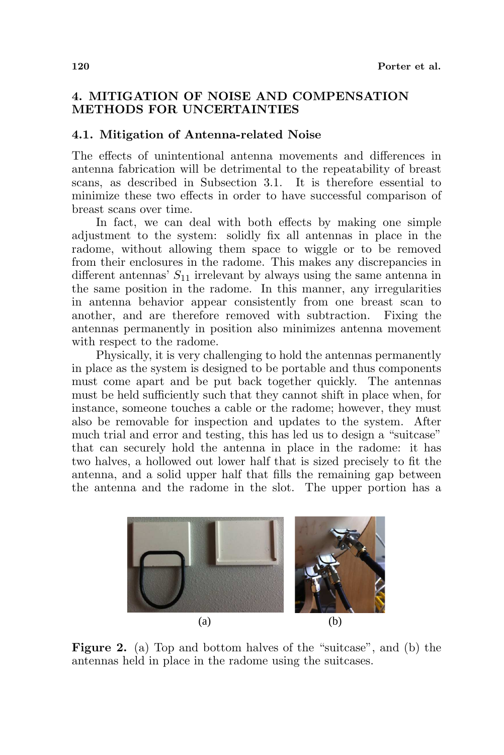### 4. MITIGATION OF NOISE AND COMPENSATION METHODS FOR UNCERTAINTIES

#### 4.1. Mitigation of Antenna-related Noise

The effects of unintentional antenna movements and differences in antenna fabrication will be detrimental to the repeatability of breast scans, as described in Subsection 3.1. It is therefore essential to minimize these two effects in order to have successful comparison of breast scans over time.

In fact, we can deal with both effects by making one simple adjustment to the system: solidly fix all antennas in place in the radome, without allowing them space to wiggle or to be removed from their enclosures in the radome. This makes any discrepancies in different antennas'  $S_{11}$  irrelevant by always using the same antenna in the same position in the radome. In this manner, any irregularities in antenna behavior appear consistently from one breast scan to another, and are therefore removed with subtraction. Fixing the antennas permanently in position also minimizes antenna movement with respect to the radome.

Physically, it is very challenging to hold the antennas permanently in place as the system is designed to be portable and thus components must come apart and be put back together quickly. The antennas must be held sufficiently such that they cannot shift in place when, for instance, someone touches a cable or the radome; however, they must also be removable for inspection and updates to the system. After much trial and error and testing, this has led us to design a "suitcase" that can securely hold the antenna in place in the radome: it has two halves, a hollowed out lower half that is sized precisely to fit the antenna, and a solid upper half that fills the remaining gap between the antenna and the radome in the slot. The upper portion has a



Figure 2. (a) Top and bottom halves of the "suitcase", and (b) the antennas held in place in the radome using the suitcases.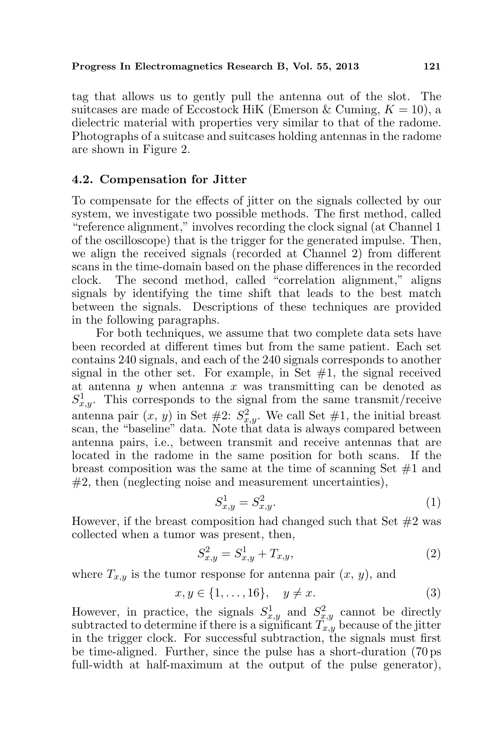tag that allows us to gently pull the antenna out of the slot. The suitcases are made of Eccostock HiK (Emerson & Cuming,  $K = 10$ ), a dielectric material with properties very similar to that of the radome. Photographs of a suitcase and suitcases holding antennas in the radome are shown in Figure 2.

#### 4.2. Compensation for Jitter

To compensate for the effects of jitter on the signals collected by our system, we investigate two possible methods. The first method, called "reference alignment," involves recording the clock signal (at Channel 1 of the oscilloscope) that is the trigger for the generated impulse. Then, we align the received signals (recorded at Channel 2) from different scans in the time-domain based on the phase differences in the recorded clock. The second method, called "correlation alignment," aligns signals by identifying the time shift that leads to the best match between the signals. Descriptions of these techniques are provided in the following paragraphs.

For both techniques, we assume that two complete data sets have been recorded at different times but from the same patient. Each set contains 240 signals, and each of the 240 signals corresponds to another signal in the other set. For example, in Set  $#1$ , the signal received at antenna  $y$  when antenna  $x$  was transmitting can be denoted as  $S_{x,y}^1$ . This corresponds to the signal from the same transmit/receive antenna pair  $(x, y)$  in Set #2:  $S_{x,y}^2$ . We call Set #1, the initial breast scan, the "baseline" data. Note that data is always compared between antenna pairs, i.e., between transmit and receive antennas that are located in the radome in the same position for both scans. If the breast composition was the same at the time of scanning Set  $#1$  and  $#2$ , then (neglecting noise and measurement uncertainties),

$$
S_{x,y}^1 = S_{x,y}^2. \t\t(1)
$$

However, if the breast composition had changed such that Set  $#2$  was collected when a tumor was present, then,

$$
S_{x,y}^2 = S_{x,y}^1 + T_{x,y},\tag{2}
$$

where  $T_{x,y}$  is the tumor response for antenna pair  $(x, y)$ , and

$$
x, y \in \{1, \dots, 16\}, \quad y \neq x. \tag{3}
$$

However, in practice, the signals  $S_{x,y}^1$  and  $S_{x,y}^2$  cannot be directly subtracted to determine if there is a significant  $T_{x,y}$  because of the jitter in the trigger clock. For successful subtraction, the signals must first be time-aligned. Further, since the pulse has a short-duration (70 ps full-width at half-maximum at the output of the pulse generator),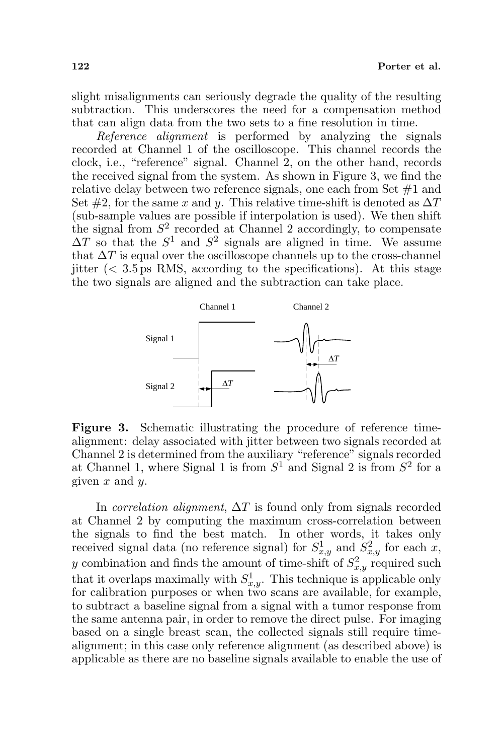slight misalignments can seriously degrade the quality of the resulting subtraction. This underscores the need for a compensation method that can align data from the two sets to a fine resolution in time.

Reference alignment is performed by analyzing the signals recorded at Channel 1 of the oscilloscope. This channel records the clock, i.e., "reference" signal. Channel 2, on the other hand, records the received signal from the system. As shown in Figure 3, we find the relative delay between two reference signals, one each from Set #1 and Set #2, for the same x and y. This relative time-shift is denoted as  $\Delta T$ (sub-sample values are possible if interpolation is used). We then shift the signal from  $S^2$  recorded at Channel 2 accordingly, to compensate  $\Delta T$  so that the  $S^1$  and  $S^2$  signals are aligned in time. We assume that  $\Delta T$  is equal over the oscilloscope channels up to the cross-channel jitter  $\langle \, \langle \, 3.5 \, \text{ps} \, \text{RMS}, \, \text{according to the specifications} \rangle$ . At this stage the two signals are aligned and the subtraction can take place.



Figure 3. Schematic illustrating the procedure of reference timealignment: delay associated with jitter between two signals recorded at Channel 2 is determined from the auxiliary "reference" signals recorded at Channel 1, where Signal 1 is from  $S^1$  and Signal 2 is from  $S^2$  for a given  $x$  and  $y$ .

In *correlation alignment*,  $\Delta T$  is found only from signals recorded at Channel 2 by computing the maximum cross-correlation between the signals to find the best match. In other words, it takes only received signal data (no reference signal) for  $S_{x,y}^1$  and  $S_{x,y}^2$  for each x, y combination and finds the amount of time-shift of  $S_{x,y}^2$  required such that it overlaps maximally with  $S_{x,y}^1$ . This technique is applicable only for calibration purposes or when two scans are available, for example, to subtract a baseline signal from a signal with a tumor response from the same antenna pair, in order to remove the direct pulse. For imaging based on a single breast scan, the collected signals still require timealignment; in this case only reference alignment (as described above) is applicable as there are no baseline signals available to enable the use of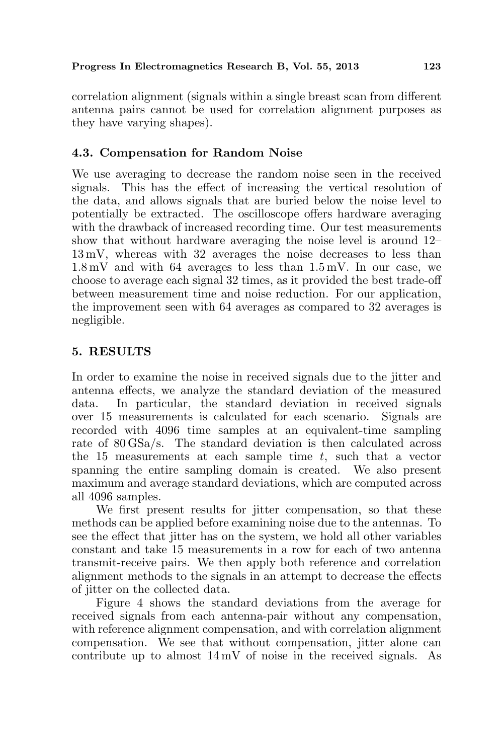correlation alignment (signals within a single breast scan from different antenna pairs cannot be used for correlation alignment purposes as they have varying shapes).

# 4.3. Compensation for Random Noise

We use averaging to decrease the random noise seen in the received signals. This has the effect of increasing the vertical resolution of the data, and allows signals that are buried below the noise level to potentially be extracted. The oscilloscope offers hardware averaging with the drawback of increased recording time. Our test measurements show that without hardware averaging the noise level is around 12– 13 mV, whereas with 32 averages the noise decreases to less than 1.8 mV and with 64 averages to less than 1.5 mV. In our case, we choose to average each signal 32 times, as it provided the best trade-off between measurement time and noise reduction. For our application, the improvement seen with 64 averages as compared to 32 averages is negligible.

# 5. RESULTS

In order to examine the noise in received signals due to the jitter and antenna effects, we analyze the standard deviation of the measured data. In particular, the standard deviation in received signals over 15 measurements is calculated for each scenario. Signals are recorded with 4096 time samples at an equivalent-time sampling rate of 80 GSa/s. The standard deviation is then calculated across the 15 measurements at each sample time  $t$ , such that a vector spanning the entire sampling domain is created. We also present maximum and average standard deviations, which are computed across all 4096 samples.

We first present results for jitter compensation, so that these methods can be applied before examining noise due to the antennas. To see the effect that jitter has on the system, we hold all other variables constant and take 15 measurements in a row for each of two antenna transmit-receive pairs. We then apply both reference and correlation alignment methods to the signals in an attempt to decrease the effects of jitter on the collected data.

Figure 4 shows the standard deviations from the average for received signals from each antenna-pair without any compensation, with reference alignment compensation, and with correlation alignment compensation. We see that without compensation, jitter alone can contribute up to almost 14 mV of noise in the received signals. As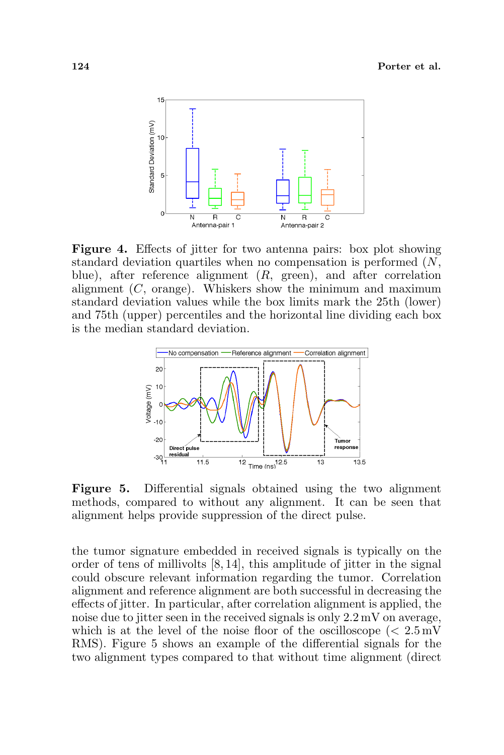

Figure 4. Effects of jitter for two antenna pairs: box plot showing standard deviation quartiles when no compensation is performed (N, blue), after reference alignment  $(R, green)$ , and after correlation alignment  $(C, \text{orange})$ . Whiskers show the minimum and maximum standard deviation values while the box limits mark the 25th (lower) and 75th (upper) percentiles and the horizontal line dividing each box is the median standard deviation.



Figure 5. Differential signals obtained using the two alignment methods, compared to without any alignment. It can be seen that alignment helps provide suppression of the direct pulse.

the tumor signature embedded in received signals is typically on the order of tens of millivolts [8, 14], this amplitude of jitter in the signal could obscure relevant information regarding the tumor. Correlation alignment and reference alignment are both successful in decreasing the effects of jitter. In particular, after correlation alignment is applied, the noise due to jitter seen in the received signals is only 2.2 mV on average, which is at the level of the noise floor of the oscilloscope  $\langle \, \langle 2.5 \, \text{mV} \rangle$ RMS). Figure 5 shows an example of the differential signals for the two alignment types compared to that without time alignment (direct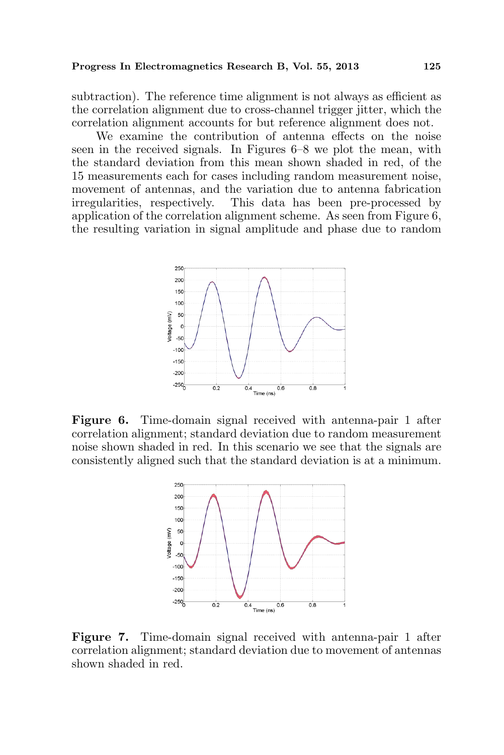subtraction). The reference time alignment is not always as efficient as the correlation alignment due to cross-channel trigger jitter, which the correlation alignment accounts for but reference alignment does not.

We examine the contribution of antenna effects on the noise seen in the received signals. In Figures 6–8 we plot the mean, with the standard deviation from this mean shown shaded in red, of the 15 measurements each for cases including random measurement noise, movement of antennas, and the variation due to antenna fabrication irregularities, respectively. This data has been pre-processed by application of the correlation alignment scheme. As seen from Figure 6, the resulting variation in signal amplitude and phase due to random



Figure 6. Time-domain signal received with antenna-pair 1 after correlation alignment; standard deviation due to random measurement noise shown shaded in red. In this scenario we see that the signals are consistently aligned such that the standard deviation is at a minimum.



Figure 7. Time-domain signal received with antenna-pair 1 after correlation alignment; standard deviation due to movement of antennas shown shaded in red.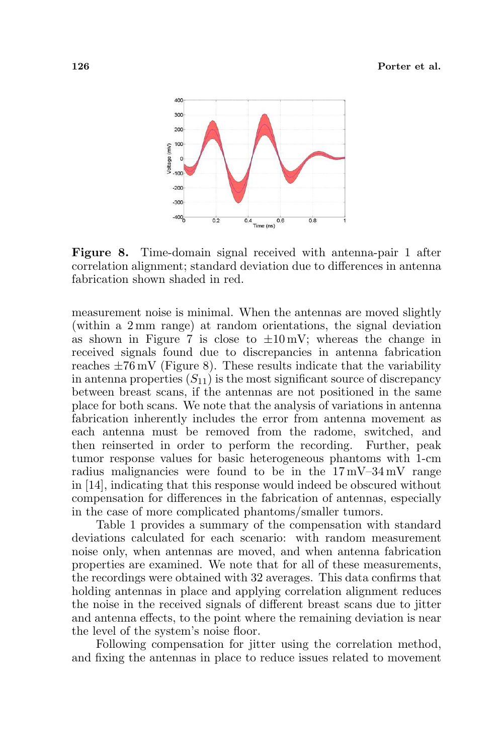

Figure 8. Time-domain signal received with antenna-pair 1 after correlation alignment; standard deviation due to differences in antenna fabrication shown shaded in red.

measurement noise is minimal. When the antennas are moved slightly (within a 2 mm range) at random orientations, the signal deviation as shown in Figure 7 is close to  $\pm 10 \,\text{mV}$ ; whereas the change in received signals found due to discrepancies in antenna fabrication reaches  $\pm 76 \,\mathrm{mV}$  (Figure 8). These results indicate that the variability in antenna properties  $(S_{11})$  is the most significant source of discrepancy between breast scans, if the antennas are not positioned in the same place for both scans. We note that the analysis of variations in antenna fabrication inherently includes the error from antenna movement as each antenna must be removed from the radome, switched, and then reinserted in order to perform the recording. Further, peak tumor response values for basic heterogeneous phantoms with 1-cm radius malignancies were found to be in the  $17 \,\mathrm{mV}$ –34 mV range in [14], indicating that this response would indeed be obscured without compensation for differences in the fabrication of antennas, especially in the case of more complicated phantoms/smaller tumors.

Table 1 provides a summary of the compensation with standard deviations calculated for each scenario: with random measurement noise only, when antennas are moved, and when antenna fabrication properties are examined. We note that for all of these measurements, the recordings were obtained with 32 averages. This data confirms that holding antennas in place and applying correlation alignment reduces the noise in the received signals of different breast scans due to jitter and antenna effects, to the point where the remaining deviation is near the level of the system's noise floor.

Following compensation for jitter using the correlation method, and fixing the antennas in place to reduce issues related to movement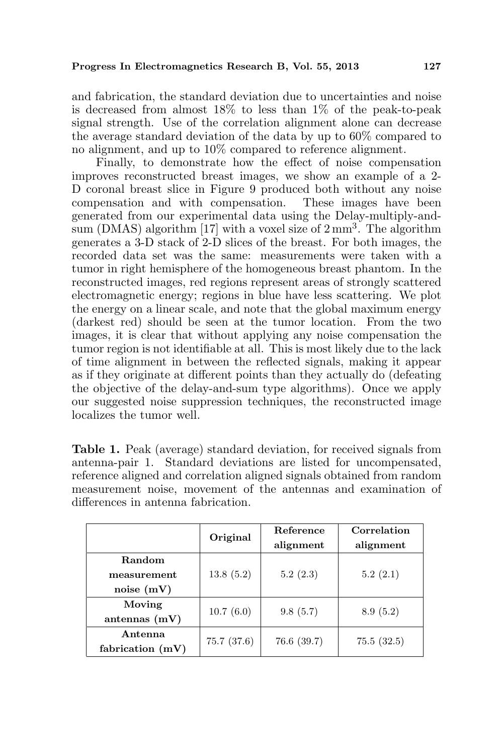and fabrication, the standard deviation due to uncertainties and noise is decreased from almost 18% to less than 1% of the peak-to-peak signal strength. Use of the correlation alignment alone can decrease the average standard deviation of the data by up to 60% compared to no alignment, and up to 10% compared to reference alignment.

Finally, to demonstrate how the effect of noise compensation improves reconstructed breast images, we show an example of a 2- D coronal breast slice in Figure 9 produced both without any noise compensation and with compensation. These images have been generated from our experimental data using the Delay-multiply-andsum (DMAS) algorithm [17] with a voxel size of  $2 \text{ mm}^3$ . The algorithm generates a 3-D stack of 2-D slices of the breast. For both images, the recorded data set was the same: measurements were taken with a tumor in right hemisphere of the homogeneous breast phantom. In the reconstructed images, red regions represent areas of strongly scattered electromagnetic energy; regions in blue have less scattering. We plot the energy on a linear scale, and note that the global maximum energy (darkest red) should be seen at the tumor location. From the two images, it is clear that without applying any noise compensation the tumor region is not identifiable at all. This is most likely due to the lack of time alignment in between the reflected signals, making it appear as if they originate at different points than they actually do (defeating the objective of the delay-and-sum type algorithms). Once we apply our suggested noise suppression techniques, the reconstructed image localizes the tumor well.

Table 1. Peak (average) standard deviation, for received signals from antenna-pair 1. Standard deviations are listed for uncompensated, reference aligned and correlation aligned signals obtained from random measurement noise, movement of the antennas and examination of differences in antenna fabrication.

|                    | Original   | Reference<br>alignment | Correlation<br>alignment |
|--------------------|------------|------------------------|--------------------------|
| Random             |            |                        |                          |
| measurement        | 13.8(5.2)  | 5.2(2.3)               | 5.2(2.1)                 |
| noise(mV)          |            |                        |                          |
| Moving             | 10.7(6.0)  | 9.8(5.7)               | 8.9(5.2)                 |
| antennas $(mV)$    |            |                        |                          |
| Antenna            | 75.7(37.6) | 76.6(39.7)             | 75.5(32.5)               |
| fabrication $(mV)$ |            |                        |                          |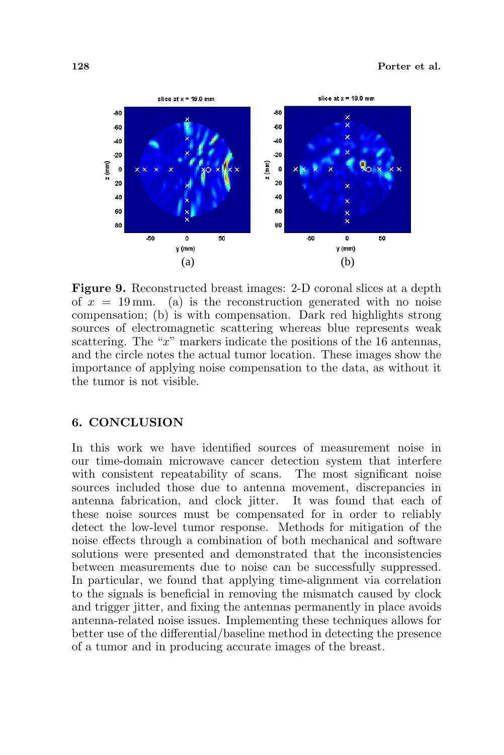

Figure 9. Reconstructed breast images: 2-D coronal slices at a depth of  $x = 19$  mm. (a) is the reconstruction generated with no noise compensation; (b) is with compensation. Dark red highlights strong sources of electromagnetic scattering whereas blue represents weak scattering. The " $x$ " markers indicate the positions of the 16 antennas, and the circle notes the actual tumor location. These images show the importance of applying noise compensation to the data, as without it the tumor is not visible.

#### 6. CONCLUSION

In this work we have identified sources of measurement noise in our time-domain microwave cancer detection system that interfere with consistent repeatability of scans. The most significant noise sources included those due to antenna movement, discrepancies in antenna fabrication, and clock jitter. It was found that each of these noise sources must be compensated for in order to reliably detect the low-level tumor response. Methods for mitigation of the noise effects through a combination of both mechanical and software solutions were presented and demonstrated that the inconsistencies between measurements due to noise can be successfully suppressed. In particular, we found that applying time-alignment via correlation to the signals is beneficial in removing the mismatch caused by clock and trigger jitter, and fixing the antennas permanently in place avoids antenna-related noise issues. Implementing these techniques allows for better use of the differential/baseline method in detecting the presence of a tumor and in producing accurate images of the breast.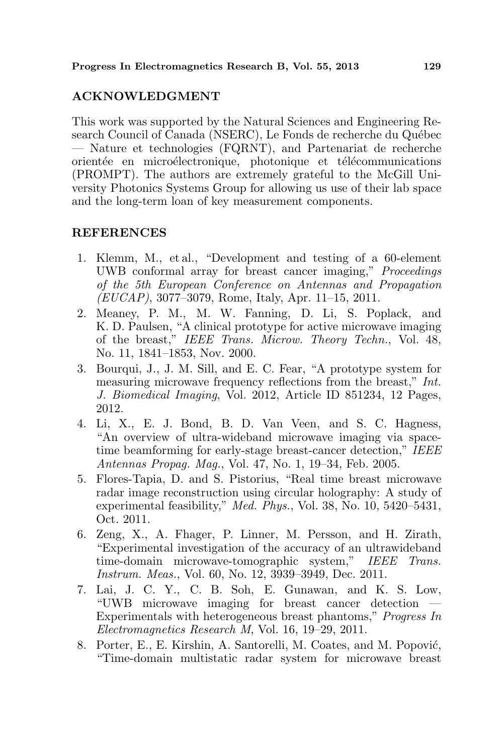## ACKNOWLEDGMENT

This work was supported by the Natural Sciences and Engineering Research Council of Canada (NSERC), Le Fonds de recherche du Québec — Nature et technologies (FQRNT), and Partenariat de recherche orientée en microélectronique, photonique et télécommunications (PROMPT). The authors are extremely grateful to the McGill University Photonics Systems Group for allowing us use of their lab space and the long-term loan of key measurement components.

#### **REFERENCES**

- 1. Klemm, M., et al., "Development and testing of a 60-element UWB conformal array for breast cancer imaging," Proceedings of the 5th European Conference on Antennas and Propagation (EUCAP), 3077–3079, Rome, Italy, Apr. 11–15, 2011.
- 2. Meaney, P. M., M. W. Fanning, D. Li, S. Poplack, and K. D. Paulsen, "A clinical prototype for active microwave imaging of the breast," IEEE Trans. Microw. Theory Techn., Vol. 48, No. 11, 1841–1853, Nov. 2000.
- 3. Bourqui, J., J. M. Sill, and E. C. Fear, "A prototype system for measuring microwave frequency reflections from the breast," Int. J. Biomedical Imaging, Vol. 2012, Article ID 851234, 12 Pages, 2012.
- 4. Li, X., E. J. Bond, B. D. Van Veen, and S. C. Hagness, "An overview of ultra-wideband microwave imaging via spacetime beamforming for early-stage breast-cancer detection," IEEE Antennas Propag. Mag., Vol. 47, No. 1, 19–34, Feb. 2005.
- 5. Flores-Tapia, D. and S. Pistorius, "Real time breast microwave radar image reconstruction using circular holography: A study of experimental feasibility," Med. Phys., Vol. 38, No. 10, 5420–5431, Oct. 2011.
- 6. Zeng, X., A. Fhager, P. Linner, M. Persson, and H. Zirath, "Experimental investigation of the accuracy of an ultrawideband time-domain microwave-tomographic system," IEEE Trans. Instrum. Meas., Vol. 60, No. 12, 3939–3949, Dec. 2011.
- 7. Lai, J. C. Y., C. B. Soh, E. Gunawan, and K. S. Low, "UWB microwave imaging for breast cancer detection — Experimentals with heterogeneous breast phantoms," Progress In Electromagnetics Research M, Vol. 16, 19–29, 2011.
- 8. Porter, E., E. Kirshin, A. Santorelli, M. Coates, and M. Popović, "Time-domain multistatic radar system for microwave breast